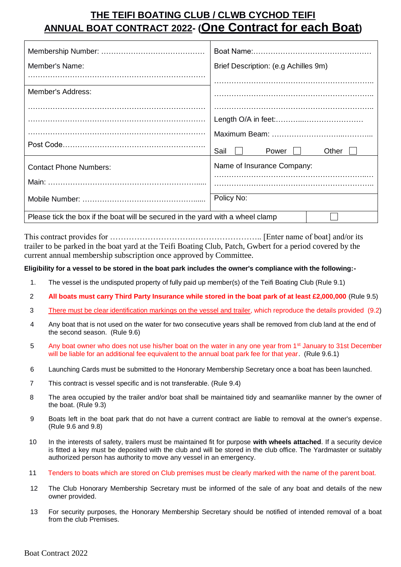# **THE TEIFI BOATING CLUB / CLWB CYCHOD TEIFI ANNUAL BOAT CONTRACT 2022- (One Contract for each Boat)**

| Member's Name:                                                                 | Brief Description: (e.g Achilles 9m) |       |
|--------------------------------------------------------------------------------|--------------------------------------|-------|
|                                                                                |                                      |       |
| Member's Address:                                                              |                                      |       |
|                                                                                |                                      |       |
|                                                                                |                                      |       |
|                                                                                |                                      |       |
|                                                                                | Sail<br>Power                        | Other |
| <b>Contact Phone Numbers:</b>                                                  | Name of Insurance Company:           |       |
|                                                                                |                                      |       |
|                                                                                | Policy No:                           |       |
| Please tick the box if the boat will be secured in the yard with a wheel clamp |                                      |       |

This contract provides for ………………………….…………………….. [Enter name of boat] and/or its trailer to be parked in the boat yard at the Teifi Boating Club, Patch, Gwbert for a period covered by the current annual membership subscription once approved by Committee.

# **Eligibility for a vessel to be stored in the boat park includes the owner's compliance with the following:-**

- 1. The vessel is the undisputed property of fully paid up member(s) of the Teifi Boating Club (Rule 9.1)
- 2 **All boats must carry Third Party Insurance while stored in the boat park of at least £2,000,000** (Rule 9.5)
- 3 There must be clear identification markings on the vessel and trailer, which reproduce the details provided (9.2)
- 4 Any boat that is not used on the water for two consecutive years shall be removed from club land at the end of the second season. (Rule 9.6)
- 5 Any boat owner who does not use his/her boat on the water in any one year from 1<sup>st</sup> January to 31st December will be liable for an additional fee equivalent to the annual boat park fee for that year. (Rule 9.6.1)
- 6 Launching Cards must be submitted to the Honorary Membership Secretary once a boat has been launched.
- 7 This contract is vessel specific and is not transferable. (Rule 9.4)
- 8 The area occupied by the trailer and/or boat shall be maintained tidy and seamanlike manner by the owner of the boat. (Rule 9.3)
- 9 Boats left in the boat park that do not have a current contract are liable to removal at the owner's expense. (Rule 9.6 and 9.8)
- 10 In the interests of safety, trailers must be maintained fit for purpose **with wheels attached**. If a security device is fitted a key must be deposited with the club and will be stored in the club office. The Yardmaster or suitably authorized person has authority to move any vessel in an emergency.
- 11 Tenders to boats which are stored on Club premises must be clearly marked with the name of the parent boat.
- 12 The Club Honorary Membership Secretary must be informed of the sale of any boat and details of the new owner provided.
- 13 For security purposes, the Honorary Membership Secretary should be notified of intended removal of a boat from the club Premises.